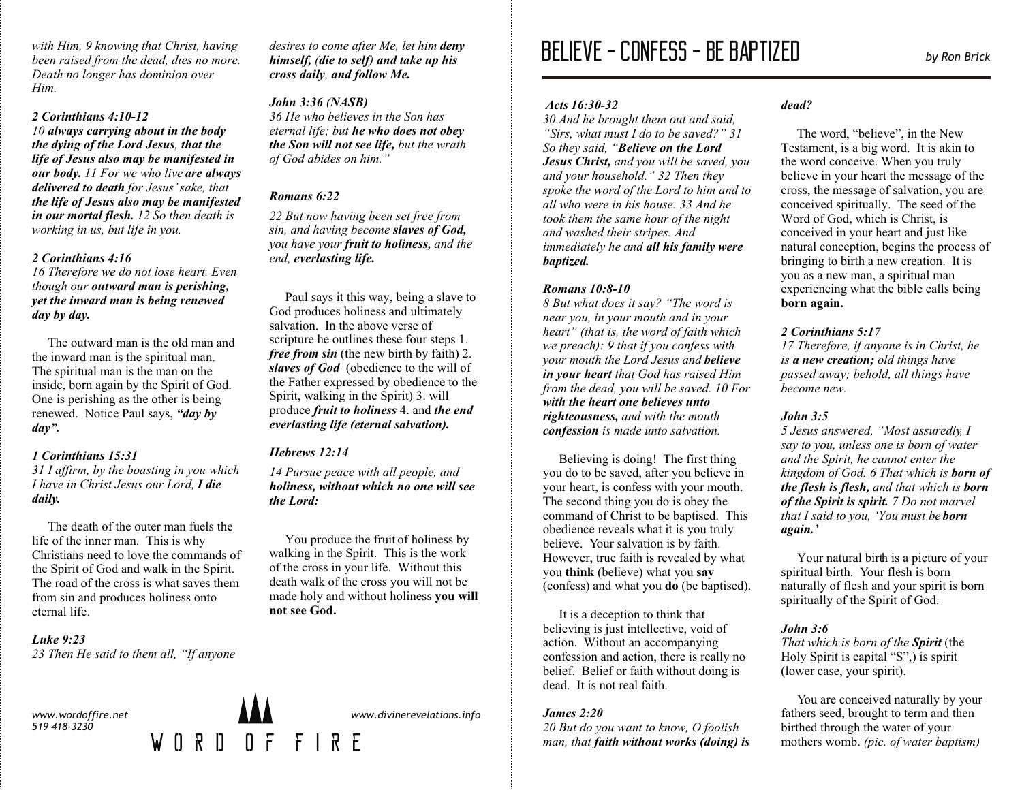*with Him, 9 knowing that Christ, having been raised from the dead, dies no more. Death no longer has dominion over Him.*

# *2 Corinthians 4:10-12*

*10 always carrying about in the body the dying of the Lord Jesus, that the life of Jesus also may be manifested in our body. 11 For we who live are always delivered to death for Jesus' sake, that the life of Jesus also may be manifested in our mortal flesh. 12 So then death is working in us, but life in you.*

# *2 Corinthians 4:16*

*16 Therefore we do not lose heart. Even though our outward man is perishing, yet the inward man is being renewed day by day.*

The outward man is the old man and the inward man is the spiritual man. The spiritual man is the man on the inside, born again by the Spirit of God. One is perishing as the other is being renewed. Notice Paul says, *"day by day".*

### *1 Corinthians 15:31*

*31 I affirm, by the boasting in you which I have in Christ Jesus our Lord, I die daily.*

The death of the outer man fuels the life of the inner man. This is why Christians need to love the commands of the Spirit of God and walk in the Spirit. The road of the cross is what saves them from sin and produces holiness onto eternal life.

# *Luke 9:23*

*23 Then He said to them all, "If anyone* 

*www.wordoffire.net 519 418-3230*

*desires to come after Me, let him deny himself, (die to self) and take up his cross daily, and follow Me.*

# *John 3:36 (NASB)*

*36 He who believes in the Son has eternal life; but he who does not obey the Son will not see life, but the wrath of God abides on him."*

# *Romans 6:22*

*22 But now having been set free from sin, and having become slaves of God, you have your fruit to holiness, and the end, everlasting life.*

 Paul says it this way, being a slave to God produces holiness and ultimately salvation. In the above verse of scripture he outlines these four steps 1. *free from sin* (the new birth by faith) 2. *slaves of God* (obedience to the will of the Father expressed by obedience to the Spirit, walking in the Spirit) 3. will produce *fruit to holiness* 4. and *the end everlasting life (eternal salvation).*

# *Hebrews 12:14*

WORD OF FIRE

*14 Pursue peace with all people, and holiness, without which no one will see the Lord:*

You produce the fruit of holiness by walking in the Spirit. This is the work of the cross in your life. Without this death walk of the cross you will not be made holy and without holiness **you will not see God.**

#### *Acts 16:30-32*

*30 And he brought them out and said, "Sirs, what must I do to be saved?" 31 So they said, "Believe on the Lord Jesus Christ, and you will be saved, you and your household." 32 Then they spoke the word of the Lord to him and to all who were in his house. 33 And he took them the same hour of the night and washed their stripes. And immediately he and all his family were baptized.* 

#### *Romans 10:8-10*

*8 But what does it say? "The word is near you, in your mouth and in your heart" (that is, the word of faith which we preach): 9 that if you confess with your mouth the Lord Jesus and believe in your heart that God has raised Him from the dead, you will be saved. 10 For with the heart one believes unto righteousness, and with the mouth confession is made unto salvation.*

Believing is doing! The first thing you do to be saved, after you believe in your heart, is confess with your mouth. The second thing you do is obey the command of Christ to be baptised. This obedience reveals what it is you truly believe. Your salvation is by faith. However, true faith is revealed by what you **think** (believe) what you **say** (confess) and what you **do** (be baptised).

 It is a deception to think that believing is just intellective, void of action. Without an accompanying confession and action, there is really no belief. Belief or faith without doing is dead. It is not real faith.

# *James 2:20*

*20 But do you want to know, O foolish man, that faith without works (doing) is* 

#### *dead?*

 The word, "believe", in the New Testament, is a big word. It is akin to the word conceive. When you truly believe in your heart the message of the cross, the message of salvation, you are conceived spiritually. The seed of the Word of God, which is Christ, is conceived in your heart and just like natural conception, begins the process of bringing to birth a new creation. It is you as a new man, a spiritual man experiencing what the bible calls being **born again.**

### *2 Corinthians 5:17*

*17 Therefore, if anyone is in Christ, he is a new creation; old things have passed away; behold, all things have become new.*

### *John 3:5*

*5 Jesus answered, "Most assuredly, I say to you, unless one is born of water and the Spirit, he cannot enter the kingdom of God. 6 That which is born of the flesh is flesh, and that which is born of the Spirit is spirit. 7 Do not marvel that I said to you, 'You must be born again.'* 

Your natural birth is a picture of your spiritual birth. Your flesh is born naturally of flesh and your spirit is born spiritually of the Spirit of God.

### *John 3:6*

*That which is born of the Spirit* (the Holy Spirit is capital "S",) is spirit (lower case, your spirit).

 You are conceived naturally by your fathers seed, brought to term and then birthed through the water of your mothers womb. *(pic. of water baptism)* 

*www.divinerevelations.info*